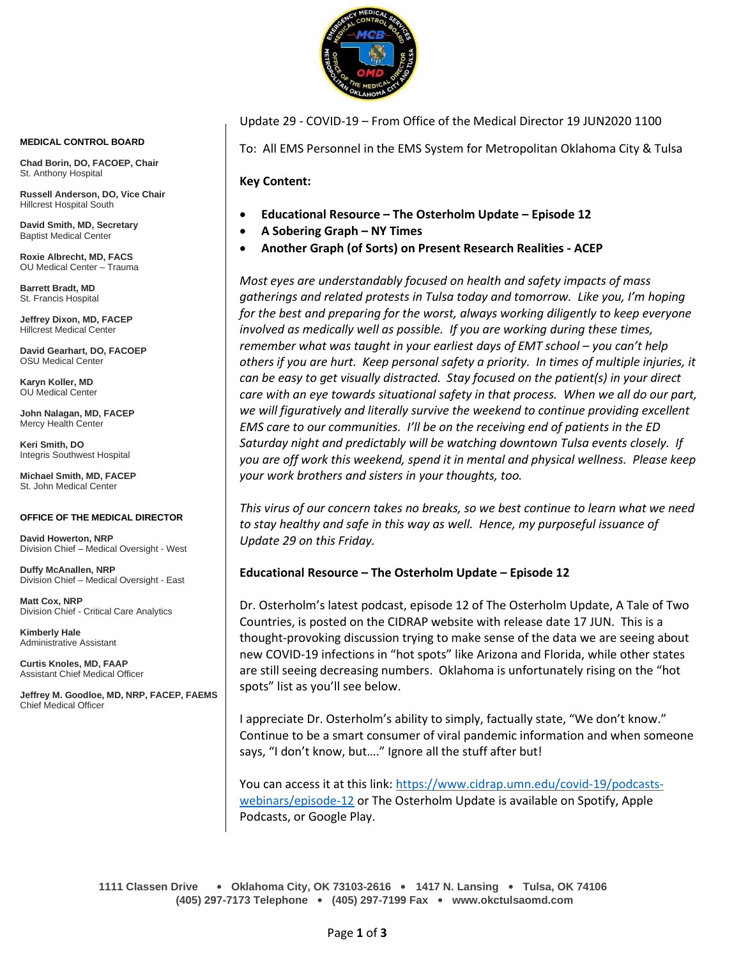

**MEDICAL CONTROL BOARD**

**Chad Borin, DO, FACOEP, Chair**  St. Anthony Hospital

**Russell Anderson, DO, Vice Chair** Hillcrest Hospital South

**David Smith, MD, Secretary** Baptist Medical Center

**Roxie Albrecht, MD, FACS** OU Medical Center – Trauma

**Barrett Bradt, MD** St. Francis Hospital

**Jeffrey Dixon, MD, FACEP** Hillcrest Medical Center

**David Gearhart, DO, FACOEP** OSU Medical Center

**Karyn Koller, MD** OU Medical Center

**John Nalagan, MD, FACEP** Mercy Health Center

**Keri Smith, DO** Integris Southwest Hospital

**Michael Smith, MD, FACEP** St. John Medical Center

#### **OFFICE OF THE MEDICAL DIRECTOR**

**David Howerton, NRP** Division Chief – Medical Oversight - West

**Duffy McAnallen, NRP** Division Chief – Medical Oversight - East

**Matt Cox, NRP** Division Chief - Critical Care Analytics

**Kimberly Hale** Administrative Assistant

**Curtis Knoles, MD, FAAP** Assistant Chief Medical Officer

**Jeffrey M. Goodloe, MD, NRP, FACEP, FAEMS** Chief Medical Officer

Update 29 - COVID-19 – From Office of the Medical Director 19 JUN2020 1100

To: All EMS Personnel in the EMS System for Metropolitan Oklahoma City & Tulsa

**Key Content:**

- **Educational Resource – The Osterholm Update – Episode 12**
- **A Sobering Graph – NY Times**
- **Another Graph (of Sorts) on Present Research Realities - ACEP**

*Most eyes are understandably focused on health and safety impacts of mass gatherings and related protests in Tulsa today and tomorrow. Like you, I'm hoping for the best and preparing for the worst, always working diligently to keep everyone involved as medically well as possible. If you are working during these times, remember what was taught in your earliest days of EMT school – you can't help others if you are hurt. Keep personal safety a priority. In times of multiple injuries, it can be easy to get visually distracted. Stay focused on the patient(s) in your direct care with an eye towards situational safety in that process. When we all do our part, we will figuratively and literally survive the weekend to continue providing excellent EMS care to our communities. I'll be on the receiving end of patients in the ED Saturday night and predictably will be watching downtown Tulsa events closely. If you are off work this weekend, spend it in mental and physical wellness. Please keep your work brothers and sisters in your thoughts, too.*

*This virus of our concern takes no breaks, so we best continue to learn what we need to stay healthy and safe in this way as well. Hence, my purposeful issuance of Update 29 on this Friday.*

#### **Educational Resource – The Osterholm Update – Episode 12**

Dr. Osterholm's latest podcast, episode 12 of The Osterholm Update, A Tale of Two Countries, is posted on the CIDRAP website with release date 17 JUN. This is a thought-provoking discussion trying to make sense of the data we are seeing about new COVID-19 infections in "hot spots" like Arizona and Florida, while other states are still seeing decreasing numbers. Oklahoma is unfortunately rising on the "hot spots" list as you'll see below.

I appreciate Dr. Osterholm's ability to simply, factually state, "We don't know." Continue to be a smart consumer of viral pandemic information and when someone says, "I don't know, but…." Ignore all the stuff after but!

You can access it at this link: [https://www.cidrap.umn.edu/covid-19/podcasts](https://www.cidrap.umn.edu/covid-19/podcasts-webinars/episode-12)[webinars/episode-12](https://www.cidrap.umn.edu/covid-19/podcasts-webinars/episode-12) or The Osterholm Update is available on Spotify, Apple Podcasts, or Google Play.

**1111 Classen Drive** • **Oklahoma City, OK 73103-2616** • **1417 N. Lansing** • **Tulsa, OK 74106 (405) 297-7173 Telephone** • **(405) 297-7199 Fax** • **www.okctulsaomd.com**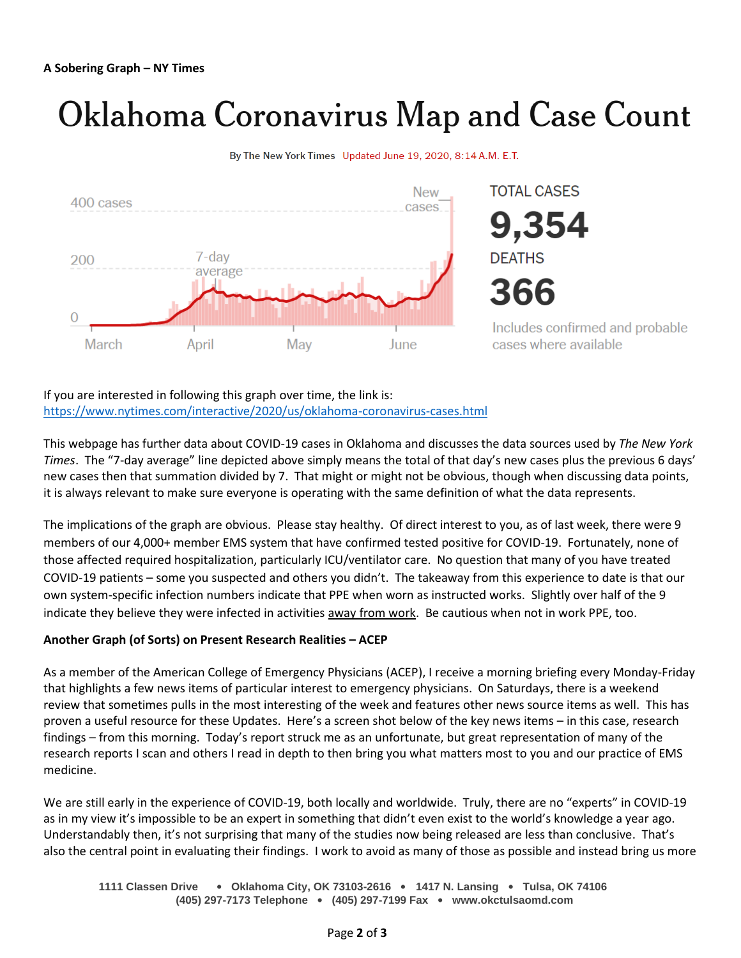# Oklahoma Coronavirus Map and Case Count





If you are interested in following this graph over time, the link is: <https://www.nytimes.com/interactive/2020/us/oklahoma-coronavirus-cases.html>

This webpage has further data about COVID-19 cases in Oklahoma and discusses the data sources used by *The New York Times*. The "7-day average" line depicted above simply means the total of that day's new cases plus the previous 6 days' new cases then that summation divided by 7. That might or might not be obvious, though when discussing data points, it is always relevant to make sure everyone is operating with the same definition of what the data represents.

The implications of the graph are obvious. Please stay healthy. Of direct interest to you, as of last week, there were 9 members of our 4,000+ member EMS system that have confirmed tested positive for COVID-19. Fortunately, none of those affected required hospitalization, particularly ICU/ventilator care. No question that many of you have treated COVID-19 patients – some you suspected and others you didn't. The takeaway from this experience to date is that our own system-specific infection numbers indicate that PPE when worn as instructed works. Slightly over half of the 9 indicate they believe they were infected in activities away from work. Be cautious when not in work PPE, too.

#### **Another Graph (of Sorts) on Present Research Realities – ACEP**

As a member of the American College of Emergency Physicians (ACEP), I receive a morning briefing every Monday-Friday that highlights a few news items of particular interest to emergency physicians. On Saturdays, there is a weekend review that sometimes pulls in the most interesting of the week and features other news source items as well. This has proven a useful resource for these Updates. Here's a screen shot below of the key news items – in this case, research findings – from this morning. Today's report struck me as an unfortunate, but great representation of many of the research reports I scan and others I read in depth to then bring you what matters most to you and our practice of EMS medicine.

We are still early in the experience of COVID-19, both locally and worldwide. Truly, there are no "experts" in COVID-19 as in my view it's impossible to be an expert in something that didn't even exist to the world's knowledge a year ago. Understandably then, it's not surprising that many of the studies now being released are less than conclusive. That's also the central point in evaluating their findings. I work to avoid as many of those as possible and instead bring us more